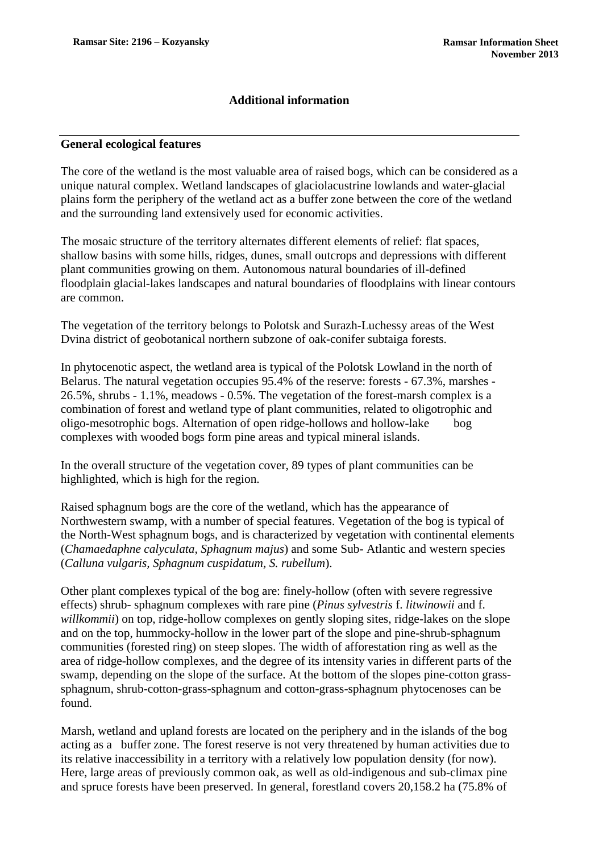### **Additional information**

#### **General ecological features**

The core of the wetland is the most valuable area of raised bogs, which can be considered as a unique natural complex. Wetland landscapes of glaciolacustrine lowlands and water-glacial plains form the periphery of the wetland act as a buffer zone between the core of the wetland and the surrounding land extensively used for economic activities.

The mosaic structure of the territory alternates different elements of relief: flat spaces, shallow basins with some hills, ridges, dunes, small outcrops and depressions with different plant communities growing on them. Autonomous natural boundaries of ill-defined floodplain glacial-lakes landscapes and natural boundaries of floodplains with linear contours are common.

The vegetation of the territory belongs to Polotsk and Surazh-Luchessy areas of the West Dvina district of geobotanical northern subzone of oak-conifer subtaiga forests.

In phytocenotic aspect, the wetland area is typical of the Polotsk Lowland in the north of Belarus. The natural vegetation occupies 95.4% of the reserve: forests - 67.3%, marshes - 26.5%, shrubs - 1.1%, meadows - 0.5%. The vegetation of the forest-marsh complex is a combination of forest and wetland type of plant communities, related to oligotrophic and oligo-mesotrophic bogs. Alternation of open ridge-hollows and hollow-lake bog complexes with wooded bogs form pine areas and typical mineral islands.

In the overall structure of the vegetation cover, 89 types of plant communities can be highlighted, which is high for the region.

Raised sphagnum bogs are the core of the wetland, which has the appearance of Northwestern swamp, with a number of special features. Vegetation of the bog is typical of the North-West sphagnum bogs, and is characterized by vegetation with continental elements (*Chamaedaphne calyculata, Sphagnum majus*) and some Sub- Atlantic and western species (*Calluna vulgaris, Sphagnum cuspidatum, S. rubellum*).

Other plant complexes typical of the bog are: finely-hollow (often with severe regressive effects) shrub- sphagnum complexes with rare pine (*Pinus sylvestris* f. *litwinowii* and f. *willkommii*) on top, ridge-hollow complexes on gently sloping sites, ridge-lakes on the slope and on the top, hummocky-hollow in the lower part of the slope and pine-shrub-sphagnum communities (forested ring) on steep slopes. The width of afforestation ring as well as the area of ridge-hollow complexes, and the degree of its intensity varies in different parts of the swamp, depending on the slope of the surface. At the bottom of the slopes pine-cotton grasssphagnum, shrub-cotton-grass-sphagnum and cotton-grass-sphagnum phytocenoses can be found.

Marsh, wetland and upland forests are located on the periphery and in the islands of the bog acting as a buffer zone. The forest reserve is not very threatened by human activities due to its relative inaccessibility in a territory with a relatively low population density (for now). Here, large areas of previously common oak, as well as old-indigenous and sub-climax pine and spruce forests have been preserved. In general, forestland covers 20,158.2 ha (75.8% of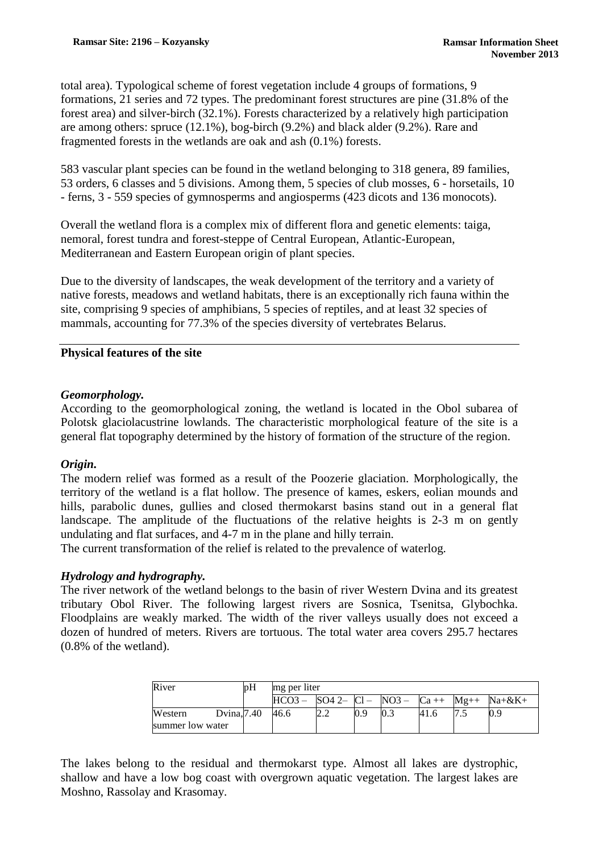total area). Typological scheme of forest vegetation include 4 groups of formations, 9 formations, 21 series and 72 types. The predominant forest structures are pine (31.8% of the forest area) and silver-birch (32.1%). Forests characterized by a relatively high participation are among others: spruce (12.1%), bog-birch (9.2%) and black alder (9.2%). Rare and fragmented forests in the wetlands are oak and ash (0.1%) forests.

583 vascular plant species can be found in the wetland belonging to 318 genera, 89 families, 53 orders, 6 classes and 5 divisions. Among them, 5 species of club mosses, 6 - horsetails, 10 - ferns, 3 - 559 species of gymnosperms and angiosperms (423 dicots and 136 monocots).

Overall the wetland flora is a complex mix of different flora and genetic elements: taiga, nemoral, forest tundra and forest-steppe of Central European, Atlantic-European, Mediterranean and Eastern European origin of plant species.

Due to the diversity of landscapes, the weak development of the territory and a variety of native forests, meadows and wetland habitats, there is an exceptionally rich fauna within the site, comprising 9 species of amphibians, 5 species of reptiles, and at least 32 species of mammals, accounting for 77.3% of the species diversity of vertebrates Belarus.

## **Physical features of the site**

### *Geomorphology.*

According to the geomorphological zoning, the wetland is located in the Obol subarea of Polotsk glaciolacustrine lowlands. The characteristic morphological feature of the site is a general flat topography determined by the history of formation of the structure of the region.

### *Origin.*

The modern relief was formed as a result of the Poozerie glaciation. Morphologically, the territory of the wetland is a flat hollow. The presence of kames, eskers, eolian mounds and hills, parabolic dunes, gullies and closed thermokarst basins stand out in a general flat landscape. The amplitude of the fluctuations of the relative heights is 2-3 m on gently undulating and flat surfaces, and 4-7 m in the plane and hilly terrain.

The current transformation of the relief is related to the prevalence of waterlog.

# *Hydrology and hydrography.*

The river network of the wetland belongs to the basin of river Western Dvina and its greatest tributary Obol River. The following largest rivers are Sosnica, Tsenitsa, Glybochka. Floodplains are weakly marked. The width of the river valleys usually does not exceed a dozen of hundred of meters. Rivers are tortuous. The total water area covers 295.7 hectares (0.8% of the wetland).

| River                       |             | 'nН | mg per liter |                 |     |         |        |        |              |
|-----------------------------|-------------|-----|--------------|-----------------|-----|---------|--------|--------|--------------|
|                             |             |     | $HCO3 -$     | $SO4$ 2- $Cl$ - |     | $NO3 -$ | $Ca++$ | $Mg++$ | $Na + \&K +$ |
| Western<br>summer low water | Dvina, 7.40 |     | 46.6         |                 | 0.9 | 0.3     | 41.6   |        | 0.9          |

The lakes belong to the residual and thermokarst type. Almost all lakes are dystrophic, shallow and have a low bog coast with overgrown aquatic vegetation. The largest lakes are Moshno, Rassolay and Krasomay.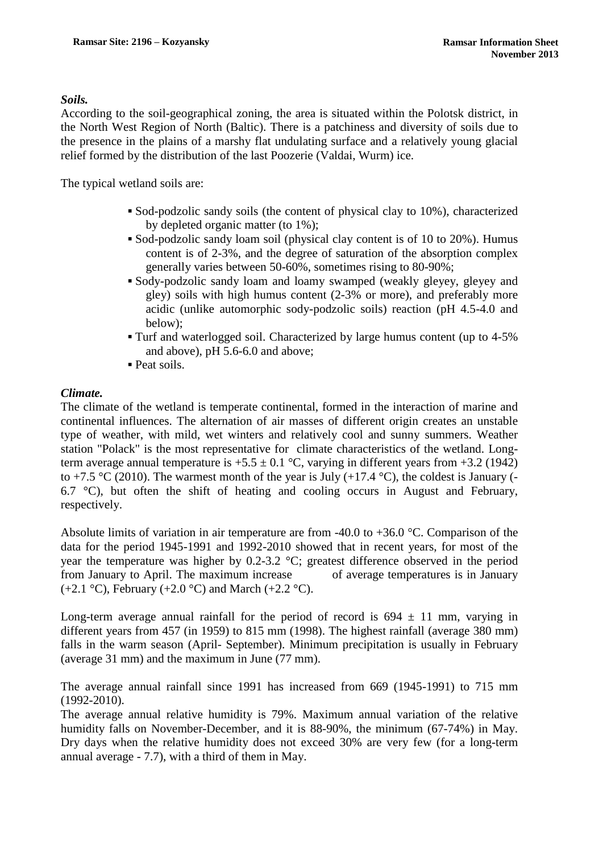#### *Soils.*

According to the soil-geographical zoning, the area is situated within the Polotsk district, in the North West Region of North (Baltic). There is a patchiness and diversity of soils due to the presence in the plains of a marshy flat undulating surface and a relatively young glacial relief formed by the distribution of the last Poozerie (Valdai, Wurm) ice.

The typical wetland soils are:

- Sod-podzolic sandy soils (the content of physical clay to 10%), characterized by depleted organic matter (to 1%);
- Sod-podzolic sandy loam soil (physical clay content is of 10 to 20%). Humus content is of 2-3%, and the degree of saturation of the absorption complex generally varies between 50-60%, sometimes rising to 80-90%;
- Sody-podzolic sandy loam and loamy swamped (weakly gleyey, gleyey and gley) soils with high humus content (2-3% or more), and preferably more acidic (unlike automorphic sody-podzolic soils) reaction (pH 4.5-4.0 and below);
- Turf and waterlogged soil. Characterized by large humus content (up to 4-5% and above), pH 5.6-6.0 and above;
- Peat soils.

#### *Climate.*

The climate of the wetland is temperate continental, formed in the interaction of marine and continental influences. The alternation of air masses of different origin creates an unstable type of weather, with mild, wet winters and relatively cool and sunny summers. Weather station "Polack" is the most representative for climate characteristics of the wetland. Longterm average annual temperature is  $+5.5 \pm 0.1$  °C, varying in different years from  $+3.2$  (1942) to +7.5 °C (2010). The warmest month of the year is July (+17.4 °C), the coldest is January (-6.7  $\degree$ C), but often the shift of heating and cooling occurs in August and February, respectively.

Absolute limits of variation in air temperature are from -40.0 to +36.0 °C. Comparison of the data for the period 1945-1991 and 1992-2010 showed that in recent years, for most of the year the temperature was higher by 0.2-3.2 °C; greatest difference observed in the period from January to April. The maximum increase of average temperatures is in January  $(+2.1 \degree C)$ , February  $(+2.0 \degree C)$  and March  $(+2.2 \degree C)$ .

Long-term average annual rainfall for the period of record is  $694 \pm 11$  mm, varying in different years from 457 (in 1959) to 815 mm (1998). The highest rainfall (average 380 mm) falls in the warm season (April- September). Minimum precipitation is usually in February (average 31 mm) and the maximum in June (77 mm).

The average annual rainfall since 1991 has increased from 669 (1945-1991) to 715 mm (1992-2010).

The average annual relative humidity is 79%. Maximum annual variation of the relative humidity falls on November-December, and it is 88-90%, the minimum (67-74%) in May. Dry days when the relative humidity does not exceed 30% are very few (for a long-term annual average - 7.7), with a third of them in May.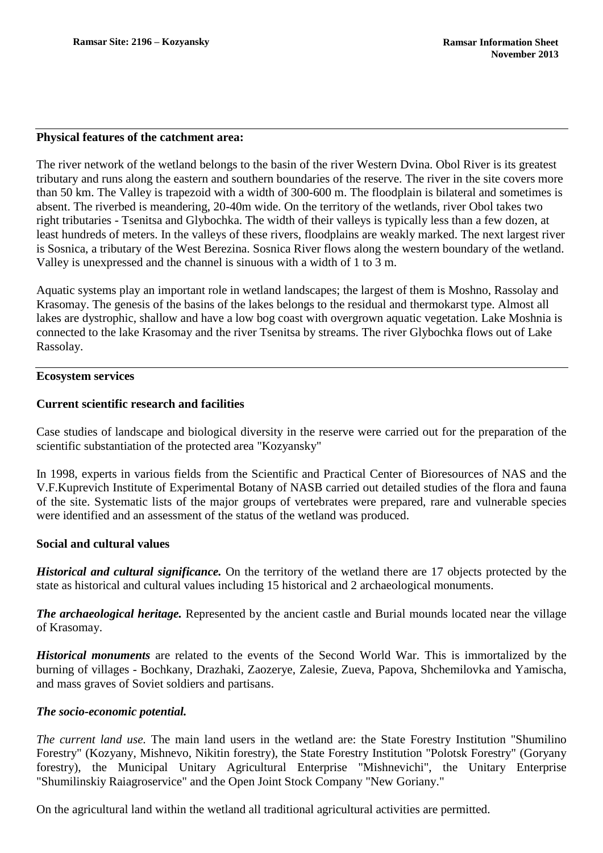#### **Physical features of the catchment area:**

The river network of the wetland belongs to the basin of the river Western Dvina. Obol River is its greatest tributary and runs along the eastern and southern boundaries of the reserve. The river in the site covers more than 50 km. The Valley is trapezoid with a width of 300-600 m. The floodplain is bilateral and sometimes is absent. The riverbed is meandering, 20-40m wide. On the territory of the wetlands, river Obol takes two right tributaries - Tsenitsa and Glybochka. The width of their valleys is typically less than a few dozen, at least hundreds of meters. In the valleys of these rivers, floodplains are weakly marked. The next largest river is Sosnica, a tributary of the West Berezina. Sosnica River flows along the western boundary of the wetland. Valley is unexpressed and the channel is sinuous with a width of 1 to 3 m.

Aquatic systems play an important role in wetland landscapes; the largest of them is Moshno, Rassolay and Krasomay. The genesis of the basins of the lakes belongs to the residual and thermokarst type. Almost all lakes are dystrophic, shallow and have a low bog coast with overgrown aquatic vegetation. Lake Moshnia is connected to the lake Krasomay and the river Tsenitsa by streams. The river Glybochka flows out of Lake Rassolay.

#### **Ecosystem services**

### **Current scientific research and facilities**

Case studies of landscape and biological diversity in the reserve were carried out for the preparation of the scientific substantiation of the protected area "Kozyansky"

In 1998, experts in various fields from the Scientific and Practical Center of Bioresources of NAS and the V.F.Kuprevich Institute of Experimental Botany of NASB carried out detailed studies of the flora and fauna of the site. Systematic lists of the major groups of vertebrates were prepared, rare and vulnerable species were identified and an assessment of the status of the wetland was produced.

### **Social and cultural values**

*Historical and cultural significance.* On the territory of the wetland there are 17 objects protected by the state as historical and cultural values including 15 historical and 2 archaeological monuments.

*The archaeological heritage.* Represented by the ancient castle and Burial mounds located near the village of Krasomay.

*Historical monuments* are related to the events of the Second World War. This is immortalized by the burning of villages - Bochkany, Drazhaki, Zaozerye, Zalesie, Zueva, Papova, Shchemilovka and Yamischa, and mass graves of Soviet soldiers and partisans.

### *The socio-economic potential.*

*The current land use.* The main land users in the wetland are: the State Forestry Institution "Shumilino Forestry" (Kozyany, Mishnevo, Nikitin forestry), the State Forestry Institution "Polotsk Forestry" (Goryany forestry), the Municipal Unitary Agricultural Enterprise "Mishnevichi", the Unitary Enterprise "Shumilinskiy Raiagroservice" and the Open Joint Stock Company "New Goriany."

On the agricultural land within the wetland all traditional agricultural activities are permitted.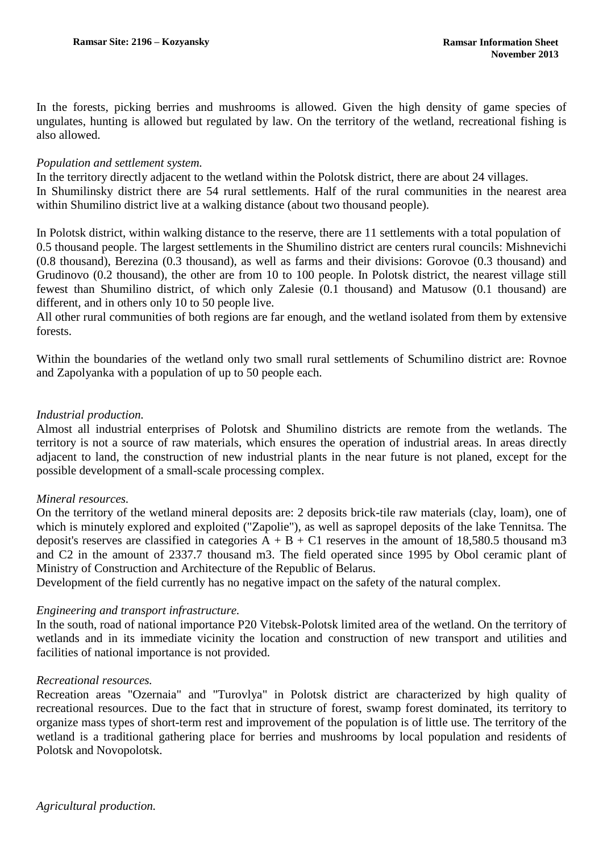In the forests, picking berries and mushrooms is allowed. Given the high density of game species of ungulates, hunting is allowed but regulated by law. On the territory of the wetland, recreational fishing is also allowed.

### *Population and settlement system.*

In the territory directly adjacent to the wetland within the Polotsk district, there are about 24 villages. In Shumilinsky district there are 54 rural settlements. Half of the rural communities in the nearest area within Shumilino district live at a walking distance (about two thousand people).

In Polotsk district, within walking distance to the reserve, there are 11 settlements with a total population of 0.5 thousand people. The largest settlements in the Shumilino district are centers rural councils: Mishnevichi (0.8 thousand), Berezina (0.3 thousand), as well as farms and their divisions: Gorovoe (0.3 thousand) and Grudinovo (0.2 thousand), the other are from 10 to 100 people. In Polotsk district, the nearest village still fewest than Shumilino district, of which only Zalesie (0.1 thousand) and Matusow (0.1 thousand) are different, and in others only 10 to 50 people live.

All other rural communities of both regions are far enough, and the wetland isolated from them by extensive forests.

Within the boundaries of the wetland only two small rural settlements of Schumilino district are: Rovnoe and Zapolyanka with a population of up to 50 people each.

# *Industrial production.*

Almost all industrial enterprises of Polotsk and Shumilino districts are remote from the wetlands. The territory is not a source of raw materials, which ensures the operation of industrial areas. In areas directly adjacent to land, the construction of new industrial plants in the near future is not planed, except for the possible development of a small-scale processing complex.

### *Mineral resources.*

On the territory of the wetland mineral deposits are: 2 deposits brick-tile raw materials (clay, loam), one of which is minutely explored and exploited ("Zapolie"), as well as sapropel deposits of the lake Tennitsa. The deposit's reserves are classified in categories  $\overline{A} + \overline{B} + \overline{C1}$  reserves in the amount of 18,580.5 thousand m3 and C2 in the amount of 2337.7 thousand m3. The field operated since 1995 by Obol ceramic plant of Ministry of Construction and Architecture of the Republic of Belarus.

Development of the field currently has no negative impact on the safety of the natural complex.

### *Engineering and transport infrastructure.*

In the south, road of national importance P20 Vitebsk-Polotsk limited area of the wetland. On the territory of wetlands and in its immediate vicinity the location and construction of new transport and utilities and facilities of national importance is not provided.

### *Recreational resources.*

Recreation areas "Ozernaia" and "Turovlya" in Polotsk district are characterized by high quality of recreational resources. Due to the fact that in structure of forest, swamp forest dominated, its territory to organize mass types of short-term rest and improvement of the population is of little use. The territory of the wetland is a traditional gathering place for berries and mushrooms by local population and residents of Polotsk and Novopolotsk.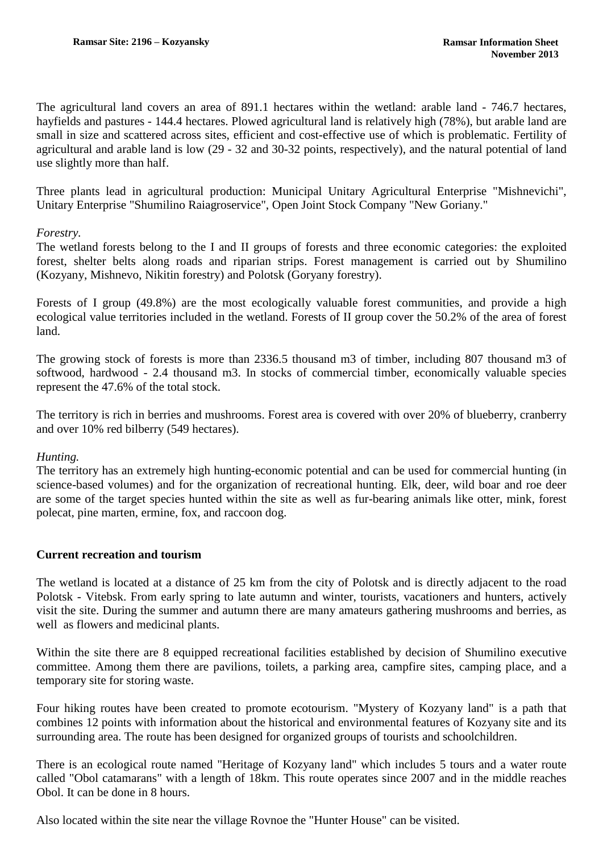The agricultural land covers an area of 891.1 hectares within the wetland: arable land - 746.7 hectares, hayfields and pastures - 144.4 hectares. Plowed agricultural land is relatively high (78%), but arable land are small in size and scattered across sites, efficient and cost-effective use of which is problematic. Fertility of agricultural and arable land is low (29 - 32 and 30-32 points, respectively), and the natural potential of land use slightly more than half.

Three plants lead in agricultural production: Municipal Unitary Agricultural Enterprise "Mishnevichi", Unitary Enterprise "Shumilino Raiagroservice", Open Joint Stock Company "New Goriany."

### *Forestry.*

The wetland forests belong to the I and II groups of forests and three economic categories: the exploited forest, shelter belts along roads and riparian strips. Forest management is carried out by Shumilino (Kozyany, Mishnevo, Nikitin forestry) and Polotsk (Goryany forestry).

Forests of I group (49.8%) are the most ecologically valuable forest communities, and provide a high ecological value territories included in the wetland. Forests of II group cover the 50.2% of the area of forest land.

The growing stock of forests is more than 2336.5 thousand m3 of timber, including 807 thousand m3 of softwood, hardwood - 2.4 thousand m3. In stocks of commercial timber, economically valuable species represent the 47.6% of the total stock.

The territory is rich in berries and mushrooms. Forest area is covered with over 20% of blueberry, cranberry and over 10% red bilberry (549 hectares).

### *Hunting.*

The territory has an extremely high hunting-economic potential and can be used for commercial hunting (in science-based volumes) and for the organization of recreational hunting. Elk, deer, wild boar and roe deer are some of the target species hunted within the site as well as fur-bearing animals like otter, mink, forest polecat, pine marten, ermine, fox, and raccoon dog.

### **Current recreation and tourism**

The wetland is located at a distance of 25 km from the city of Polotsk and is directly adjacent to the road Polotsk - Vitebsk. From early spring to late autumn and winter, tourists, vacationers and hunters, actively visit the site. During the summer and autumn there are many amateurs gathering mushrooms and berries, as well as flowers and medicinal plants.

Within the site there are 8 equipped recreational facilities established by decision of Shumilino executive committee. Among them there are pavilions, toilets, a parking area, campfire sites, camping place, and a temporary site for storing waste.

Four hiking routes have been created to promote ecotourism. "Mystery of Kozyany land" is a path that combines 12 points with information about the historical and environmental features of Kozyany site and its surrounding area. The route has been designed for organized groups of tourists and schoolchildren.

There is an ecological route named "Heritage of Kozyany land" which includes 5 tours and a water route called "Obol catamarans" with a length of 18km. This route operates since 2007 and in the middle reaches Obol. It can be done in 8 hours.

Also located within the site near the village Rovnoe the "Hunter House" can be visited.